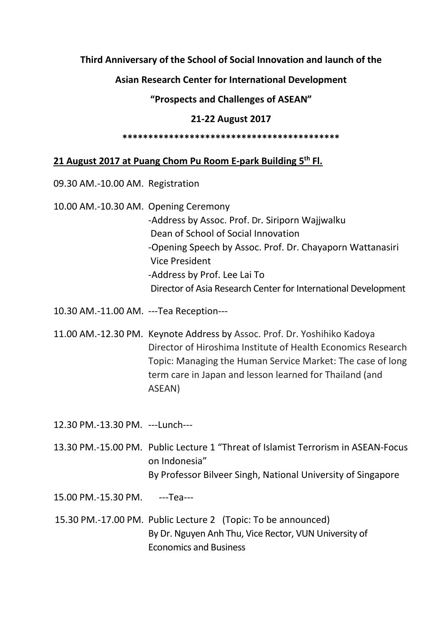## **Third Anniversary of the School of Social Innovation and launch of the**

**Asian Research Center for International Development**

**"Prospects and Challenges of ASEAN"**

## **21-22 August 2017**

**\*\*\*\*\*\*\*\*\*\*\*\*\*\*\*\*\*\*\*\*\*\*\*\*\*\*\*\*\*\*\*\*\*\*\*\*\*\*\*\*\*\***

## **21 August 2017 at Puang Chom Pu Room E-park Building 5 th Fl.**

- 09.30 AM.-10.00 AM. Registration
- 10.00 AM.-10.30 AM. Opening Ceremony -Address by Assoc. Prof. Dr. Siriporn Wajjwalku Dean of School of Social Innovation -Opening Speech by Assoc. Prof. Dr. Chayaporn Wattanasiri Vice President -Address by Prof. Lee Lai To Director of Asia Research Center for International Development
- 10.30 AM.-11.00 AM. ---Tea Reception---
- 11.00 AM.-12.30 PM. Keynote Address by Assoc. Prof. Dr. Yoshihiko Kadoya Director of Hiroshima Institute of Health Economics Research Topic: Managing the Human Service Market: The case of long term care in Japan and lesson learned for Thailand (and ASEAN)

12.30 PM.-13.30 PM. ---Lunch---

- 13.30 PM.-15.00 PM. Public Lecture 1 "Threat of Islamist Terrorism in ASEAN-Focus on Indonesia" By Professor Bilveer Singh, National University of Singapore
- 15.00 PM.-15.30 PM. ---Tea---
- 15.30 PM.-17.00 PM. Public Lecture 2 (Topic: To be announced) By Dr. Nguyen Anh Thu, Vice Rector, VUN University of Economics and Business